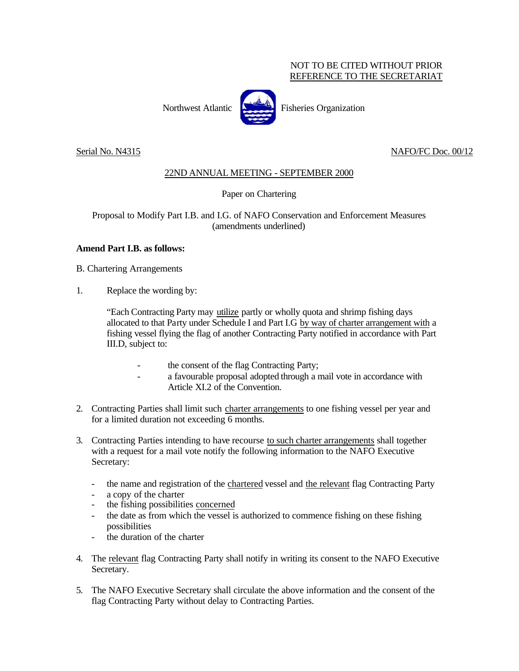## NOT TO BE CITED WITHOUT PRIOR REFERENCE TO THE SECRETARIAT

Northwest Atlantic Fisheries Organization

Serial No. N4315 NAFO/FC Doc. 00/12

## 22ND ANNUAL MEETING - SEPTEMBER 2000

Paper on Chartering

Proposal to Modify Part I.B. and I.G. of NAFO Conservation and Enforcement Measures (amendments underlined)

## **Amend Part I.B. as follows:**

B. Chartering Arrangements

1. Replace the wording by:

"Each Contracting Party may utilize partly or wholly quota and shrimp fishing days allocated to that Party under Schedule I and Part I.G by way of charter arrangement with a fishing vessel flying the flag of another Contracting Party notified in accordance with Part III.D, subject to:

- the consent of the flag Contracting Party;
- a favourable proposal adopted through a mail vote in accordance with Article XI.2 of the Convention.
- 2. Contracting Parties shall limit such charter arrangements to one fishing vessel per year and for a limited duration not exceeding 6 months.
- 3. Contracting Parties intending to have recourse to such charter arrangements shall together with a request for a mail vote notify the following information to the NAFO Executive Secretary:
	- the name and registration of the chartered vessel and the relevant flag Contracting Party
	- a copy of the charter
	- the fishing possibilities concerned
	- the date as from which the vessel is authorized to commence fishing on these fishing possibilities
	- the duration of the charter
- 4. The relevant flag Contracting Party shall notify in writing its consent to the NAFO Executive Secretary.
- 5. The NAFO Executive Secretary shall circulate the above information and the consent of the flag Contracting Party without delay to Contracting Parties.